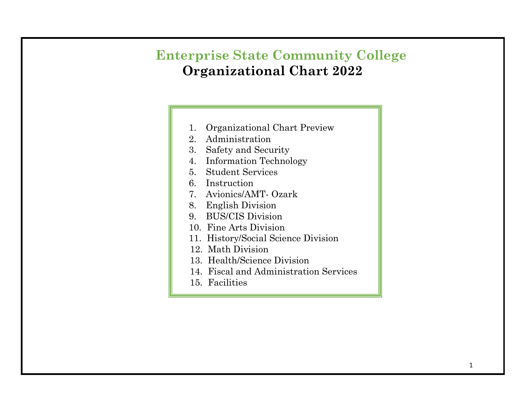# **Enterprise State Community College Organizational Chart 2022**

- 1. Organizational Chart Preview
- 2. Administration
- 3. Safety and Security
- 4. Information Technology
- 5. Student Services
- 6. Instruction
- 7. Avionics/AMT- Ozark
- 8. English Division
- 9. BUS/CIS Division
- 10. Fine Arts Division
- 11. History/Social Science Division
- 12. Math Division
- 13. Health/Science Division
- 14. Fiscal and Administration Services
- 15. Facilities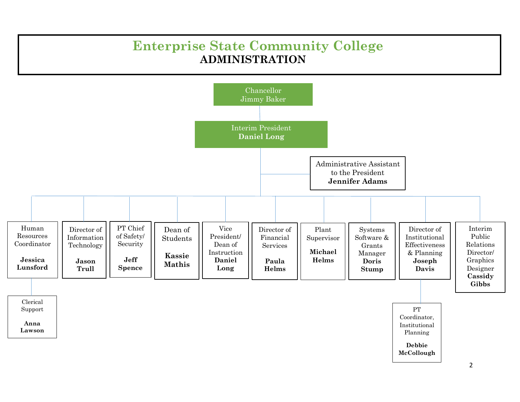## **Enterprise State Community College ADMINISTRATION**

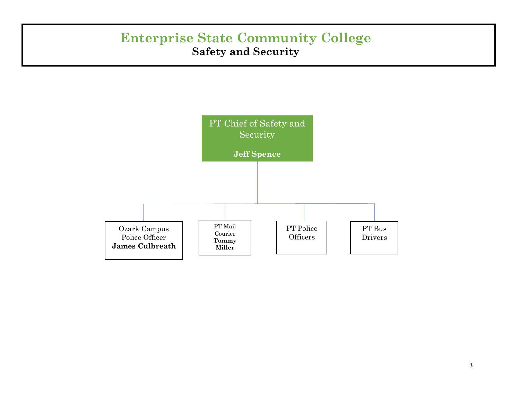### **Enterprise State Community College Safety and Security**

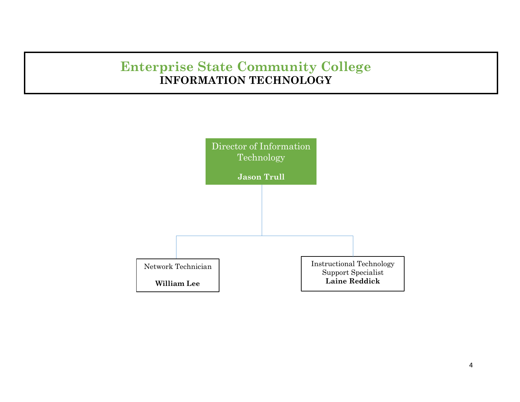# **Enterprise State Community College INFORMATION TECHNOLOGY**

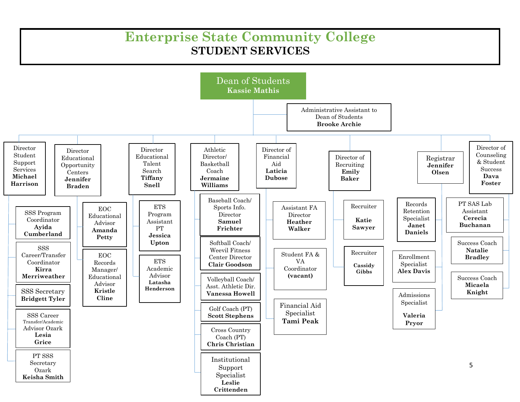## **Enterprise State Community College STUDENT SERVICES**

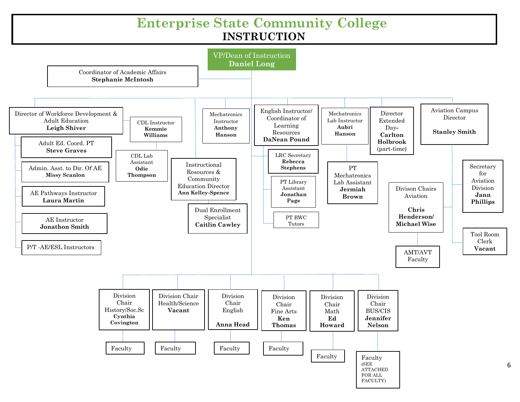#### **Enterprise State Community College INSTRUCTION**

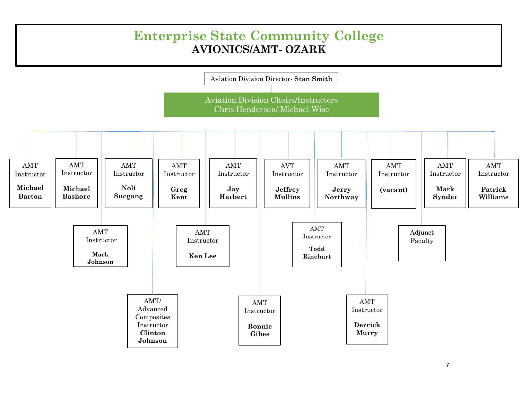#### **Enterprise State Community College AVIONICS/AMT- OZARK**

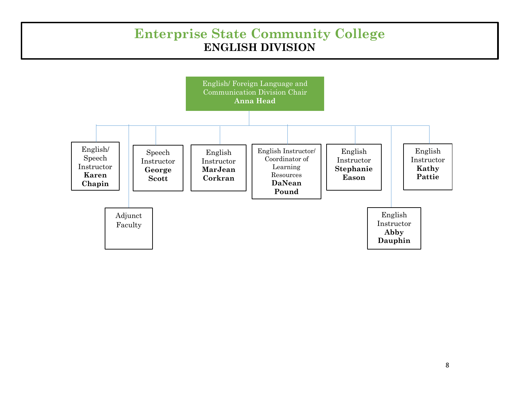#### **Enterprise State Community College ENGLISH DIVISION**

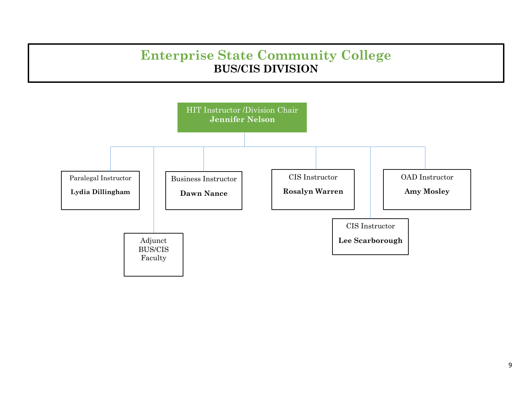## **Enterprise State Community College BUS/CIS DIVISION**

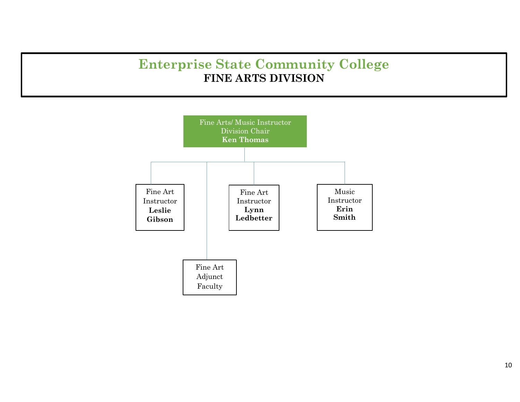## **Enterprise State Community College FINE ARTS DIVISION**

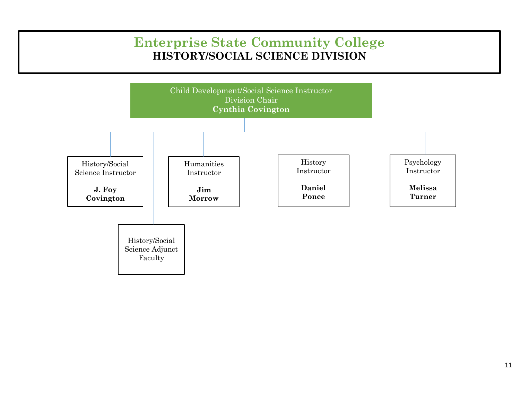## **Enterprise State Community College HISTORY/SOCIAL SCIENCE DIVISION**

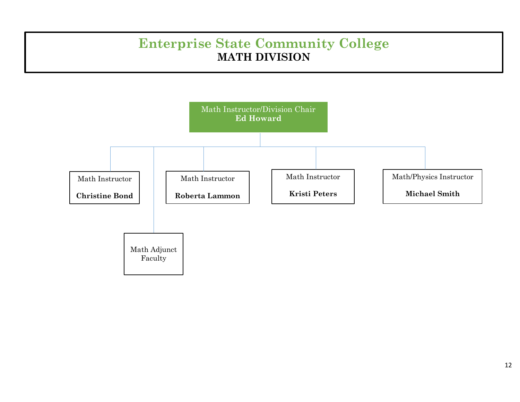# **Enterprise State Community College MATH DIVISION**

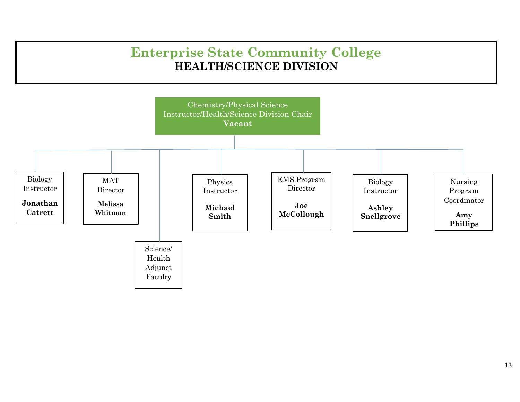### **Enterprise State Community College HEALTH/SCIENCE DIVISION**

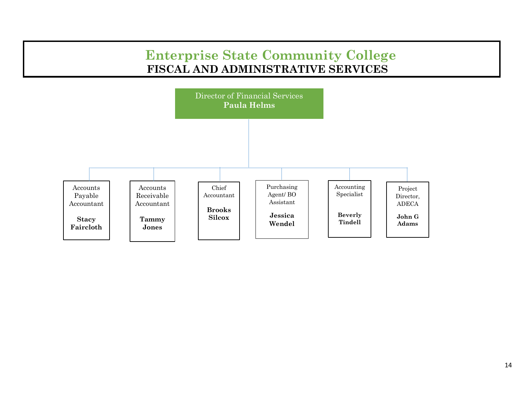#### **Enterprise State Community College FISCAL AND ADMINISTRATIVE SERVICES**